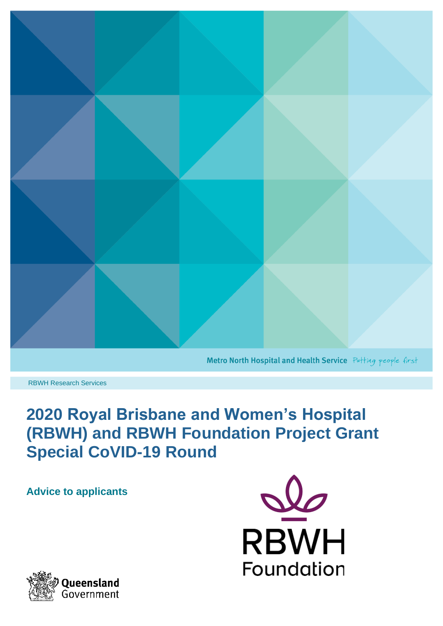

Metro North Hospital and Health Service Putting people first

RBWH Research Services

# **2020 Royal Brisbane and Women's Hospital (RBWH) and RBWH Foundation Project Grant Special CoVID-19 Round**

**Advice to applicants**



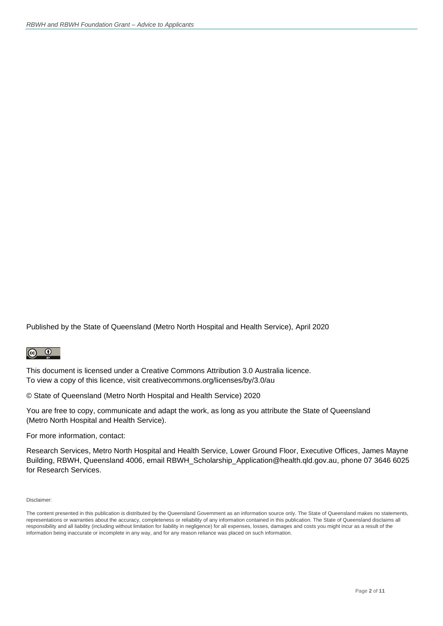Published by the State of Queensland (Metro North Hospital and Health Service), April 2020

#### $\odot$  $\left(\mathrm{cc}\right)$

This document is licensed under a Creative Commons Attribution 3.0 Australia licence. To view a copy of this licence, visit [creativecommons.org/licenses/by/3.0/au](http://www.creativecommons.org/licenses/by/3.0/au)

© State of Queensland (Metro North Hospital and Health Service) 2020

You are free to copy, communicate and adapt the work, as long as you attribute the State of Queensland (Metro North Hospital and Health Service).

For more information, contact:

Research Services, Metro North Hospital and Health Service, Lower Ground Floor, Executive Offices, James Mayne Building, RBWH, Queensland 4006, email RBWH\_Scholarship\_Application@health.qld.gov.au, phone 07 3646 6025 for Research Services.

Disclaimer:

The content presented in this publication is distributed by the Queensland Government as an information source only. The State of Queensland makes no statements, representations or warranties about the accuracy, completeness or reliability of any information contained in this publication. The State of Queensland disclaims all responsibility and all liability (including without limitation for liability in negligence) for all expenses, losses, damages and costs you might incur as a result of the information being inaccurate or incomplete in any way, and for any reason reliance was placed on such information.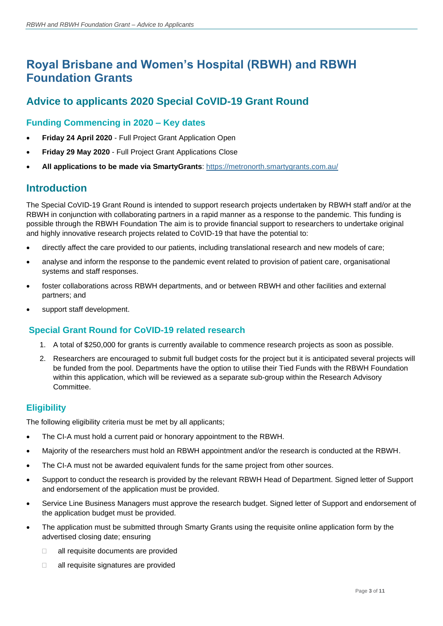## **Royal Brisbane and Women's Hospital (RBWH) and RBWH Foundation Grants**

## **Advice to applicants 2020 Special CoVID-19 Grant Round**

## **Funding Commencing in 2020 – Key dates**

- **Friday 24 April 2020** Full Project Grant Application Open
- **Friday 29 May 2020** Full Project Grant Applications Close
- **All applications to be made via SmartyGrants**:<https://metronorth.smartygrants.com.au/>

## **Introduction**

The Special CoVID-19 Grant Round is intended to support research projects undertaken by RBWH staff and/or at the RBWH in conjunction with collaborating partners in a rapid manner as a response to the pandemic. This funding is possible through the RBWH Foundation The aim is to provide financial support to researchers to undertake original and highly innovative research projects related to CoVID-19 that have the potential to:

- directly affect the care provided to our patients, including translational research and new models of care;
- analyse and inform the response to the pandemic event related to provision of patient care, organisational systems and staff responses.
- foster collaborations across RBWH departments, and or between RBWH and other facilities and external partners; and
- support staff development.

## **Special Grant Round for CoVID-19 related research**

- 1. A total of \$250,000 for grants is currently available to commence research projects as soon as possible.
- 2. Researchers are encouraged to submit full budget costs for the project but it is anticipated several projects will be funded from the pool. Departments have the option to utilise their Tied Funds with the RBWH Foundation within this application, which will be reviewed as a separate sub-group within the Research Advisory Committee.

### **Eligibility**

The following eligibility criteria must be met by all applicants;

- The CI-A must hold a current paid or honorary appointment to the RBWH.
- Majority of the researchers must hold an RBWH appointment and/or the research is conducted at the RBWH.
- The CI-A must not be awarded equivalent funds for the same project from other sources.
- Support to conduct the research is provided by the relevant RBWH Head of Department. Signed letter of Support and endorsement of the application must be provided.
- Service Line Business Managers must approve the research budget. Signed letter of Support and endorsement of the application budget must be provided.
- The application must be submitted through Smarty Grants using the requisite online application form by the advertised closing date; ensuring
	- □ all requisite documents are provided
	- □ all requisite signatures are provided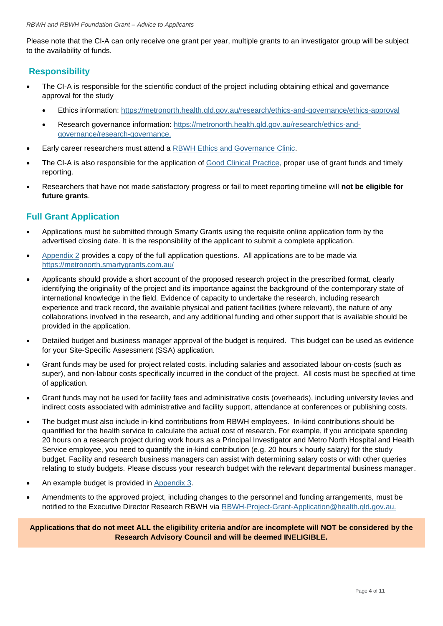Please note that the CI-A can only receive one grant per year, multiple grants to an investigator group will be subject to the availability of funds.

### **Responsibility**

- The CI-A is responsible for the scientific conduct of the project including obtaining ethical and governance approval for the study
	- Ethics information:<https://metronorth.health.qld.gov.au/research/ethics-and-governance/ethics-approval>
	- Research governance information: [https://metronorth.health.qld.gov.au/research/ethics-and](https://metronorth.health.qld.gov.au/research/ethics-and-governance/research-governance)[governance/research-governance.](https://metronorth.health.qld.gov.au/research/ethics-and-governance/research-governance)
- Early career researchers must attend a [RBWH Ethics and Governance Clinic.](https://metronorth.health.qld.gov.au/research/ethics-and-governance/clinics)
- The CI-A is also responsible for the application of [Good Clinical Practice,](https://metronorth.health.qld.gov.au/wp-content/uploads/2019/07/gcp-training-requirements.pdf) proper use of grant funds and timely reporting.
- Researchers that have not made satisfactory progress or fail to meet reporting timeline will **not be eligible for future grants**.

### **Full Grant Application**

- Applications must be submitted through Smarty Grants using the requisite online application form by the advertised closing date. It is the responsibility of the applicant to submit a complete application.
- [Appendix 2](#page-6-0) provides a copy of the full application questions. All applications are to be made via <https://metronorth.smartygrants.com.au/>
- Applicants should provide a short account of the proposed research project in the prescribed format, clearly identifying the originality of the project and its importance against the background of the contemporary state of international knowledge in the field. Evidence of capacity to undertake the research, including research experience and track record, the available physical and patient facilities (where relevant), the nature of any collaborations involved in the research, and any additional funding and other support that is available should be provided in the application.
- Detailed budget and business manager approval of the budget is required. This budget can be used as evidence for your Site-Specific Assessment (SSA) application.
- Grant funds may be used for project related costs, including salaries and associated labour on-costs (such as super), and non-labour costs specifically incurred in the conduct of the project. All costs must be specified at time of application.
- Grant funds may not be used for facility fees and administrative costs (overheads), including university levies and indirect costs associated with administrative and facility support, attendance at conferences or publishing costs.
- The budget must also include in-kind contributions from RBWH employees. In-kind contributions should be quantified for the health service to calculate the actual cost of research. For example, if you anticipate spending 20 hours on a research project during work hours as a Principal Investigator and Metro North Hospital and Health Service employee, you need to quantify the in-kind contribution (e.g. 20 hours x hourly salary) for the study budget. Facility and research business managers can assist with determining salary costs or with other queries relating to study budgets. Please discuss your research budget with the relevant departmental business manager.
- An example budget is provided in [Appendix 3.](#page-10-0)
- Amendments to the approved project, including changes to the personnel and funding arrangements, must be notified to the Executive Director Research RBWH via [RBWH-Project-Grant-Application@health.qld.gov.au.](mailto:RBWH-Project-Grant-Application@health.qld.gov.au)

#### **Applications that do not meet ALL the eligibility criteria and/or are incomplete will NOT be considered by the Research Advisory Council and will be deemed INELIGIBLE.**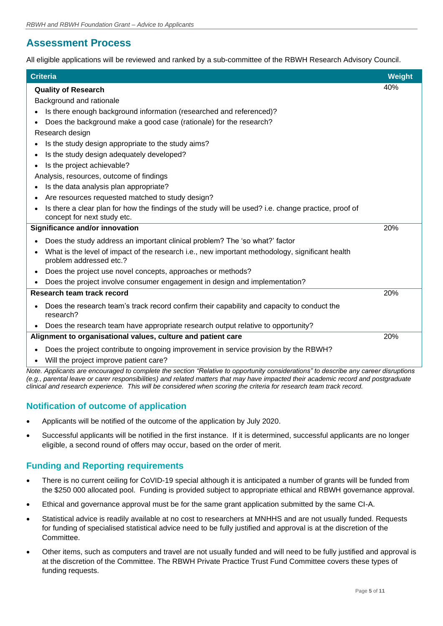## **Assessment Process**

All eligible applications will be reviewed and ranked by a sub-committee of the RBWH Research Advisory Council.

| <b>Criteria</b>                                                                                                                         | <b>Weight</b> |
|-----------------------------------------------------------------------------------------------------------------------------------------|---------------|
| 40%<br><b>Quality of Research</b>                                                                                                       |               |
| Background and rationale                                                                                                                |               |
| Is there enough background information (researched and referenced)?                                                                     |               |
| Does the background make a good case (rationale) for the research?                                                                      |               |
| Research design                                                                                                                         |               |
| Is the study design appropriate to the study aims?                                                                                      |               |
| Is the study design adequately developed?                                                                                               |               |
| Is the project achievable?<br>$\bullet$                                                                                                 |               |
| Analysis, resources, outcome of findings                                                                                                |               |
| Is the data analysis plan appropriate?                                                                                                  |               |
| Are resources requested matched to study design?                                                                                        |               |
| Is there a clear plan for how the findings of the study will be used? i.e. change practice, proof of                                    |               |
| concept for next study etc.                                                                                                             |               |
| <b>Significance and/or innovation</b><br>20%                                                                                            |               |
| Does the study address an important clinical problem? The 'so what?' factor                                                             |               |
| What is the level of impact of the research i.e., new important methodology, significant health<br>$\bullet$<br>problem addressed etc.? |               |
| Does the project use novel concepts, approaches or methods?<br>$\bullet$                                                                |               |
| Does the project involve consumer engagement in design and implementation?                                                              |               |
| Research team track record<br>20%                                                                                                       |               |
| Does the research team's track record confirm their capability and capacity to conduct the<br>research?                                 |               |
| Does the research team have appropriate research output relative to opportunity?                                                        |               |
| 20%<br>Alignment to organisational values, culture and patient care                                                                     |               |
| Does the project contribute to ongoing improvement in service provision by the RBWH?<br>Will the project improve patient care?          |               |

*Note. Applicants are encouraged to complete the section "Relative to opportunity considerations" to describe any career disruptions (e.g., parental leave or carer responsibilities) and related matters that may have impacted their academic record and postgraduate clinical and research experience. This will be considered when scoring the criteria for research team track record.* 

## **Notification of outcome of application**

- Applicants will be notified of the outcome of the application by July 2020.
- Successful applicants will be notified in the first instance. If it is determined, successful applicants are no longer eligible, a second round of offers may occur, based on the order of merit.

## **Funding and Reporting requirements**

- There is no current ceiling for CoVID-19 special although it is anticipated a number of grants will be funded from the \$250 000 allocated pool. Funding is provided subject to appropriate ethical and RBWH governance approval.
- Ethical and governance approval must be for the same grant application submitted by the same CI-A.
- Statistical advice is readily available at no cost to researchers at MNHHS and are not usually funded. Requests for funding of specialised statistical advice need to be fully justified and approval is at the discretion of the Committee.
- Other items, such as computers and travel are not usually funded and will need to be fully justified and approval is at the discretion of the Committee. The RBWH Private Practice Trust Fund Committee covers these types of funding requests.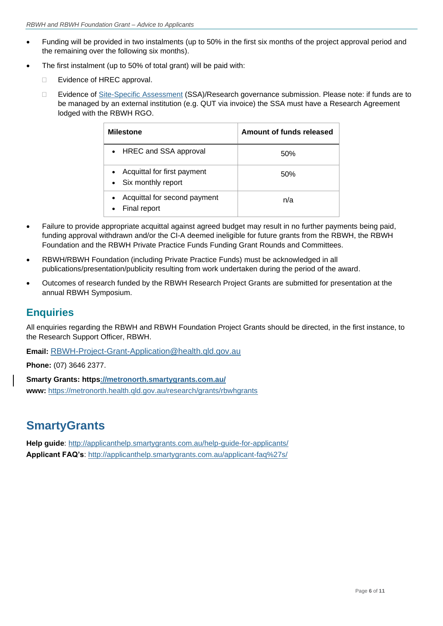- Funding will be provided in two instalments (up to 50% in the first six months of the project approval period and the remaining over the following six months).
- The first instalment (up to 50% of total grant) will be paid with:
	- □ Evidence of HREC approval.
	- □ Evidence of [Site-Specific Assessment](https://metronorth.health.qld.gov.au/research/ethics-and-governance/research-governance) (SSA)/Research governance submission. Please note: if funds are to be managed by an external institution (e.g. QUT via invoice) the SSA must have a Research Agreement lodged with the RBWH RGO.

| <b>Milestone</b>                                                 | Amount of funds released |
|------------------------------------------------------------------|--------------------------|
| • HREC and SSA approval                                          | .50%                     |
| Acquittal for first payment<br>$\bullet$<br>• Six monthly report | .50%                     |
| Acquittal for second payment<br>$\bullet$<br>Final report        | n/a                      |

- Failure to provide appropriate acquittal against agreed budget may result in no further payments being paid, funding approval withdrawn and/or the CI-A deemed ineligible for future grants from the RBWH, the RBWH Foundation and the RBWH Private Practice Funds Funding Grant Rounds and Committees.
- RBWH/RBWH Foundation (including Private Practice Funds) must be acknowledged in all publications/presentation/publicity resulting from work undertaken during the period of the award.
- Outcomes of research funded by the RBWH Research Project Grants are submitted for presentation at the annual RBWH Symposium.

## **Enquiries**

All enquiries regarding the RBWH and RBWH Foundation Project Grants should be directed, in the first instance, to the Research Support Officer, RBWH.

**Email:** [RBWH-Project-Grant-Application@health.qld.gov.au](mailto:RBWH-Project-Grant-Application@health.qld.gov.au)

**Phone:** (07) 3646 2377.

**Smarty Grants:<https://metronorth.smartygrants.com.au/> www:** <https://metronorth.health.qld.gov.au/research/grants/rbwhgrants>

## **SmartyGrants**

**Help guide**:<http://applicanthelp.smartygrants.com.au/help-guide-for-applicants/> **Applicant FAQ's**:<http://applicanthelp.smartygrants.com.au/applicant-faq%27s/>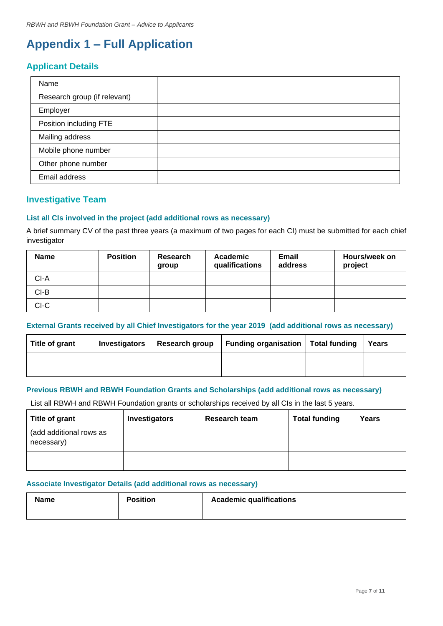## <span id="page-6-0"></span>**Appendix 1 – Full Application**

## **Applicant Details**

| Name                         |  |
|------------------------------|--|
| Research group (if relevant) |  |
| Employer                     |  |
| Position including FTE       |  |
| Mailing address              |  |
| Mobile phone number          |  |
| Other phone number           |  |
| Email address                |  |

### **Investigative Team**

#### **List all CIs involved in the project (add additional rows as necessary)**

A brief summary CV of the past three years (a maximum of two pages for each CI) must be submitted for each chief investigator

| <b>Name</b> | <b>Position</b> | Research<br>group | Academic<br>qualifications | <b>Email</b><br>address | Hours/week on<br>project |
|-------------|-----------------|-------------------|----------------------------|-------------------------|--------------------------|
| $CI-A$      |                 |                   |                            |                         |                          |
| $CI-B$      |                 |                   |                            |                         |                          |
| CI-C        |                 |                   |                            |                         |                          |

### **External Grants received by all Chief Investigators for the year 2019 (add additional rows as necessary)**

| Title of grant | <b>Investigators</b> | Research group | Funding organisation Total funding | Years |
|----------------|----------------------|----------------|------------------------------------|-------|
|                |                      |                |                                    |       |

#### **Previous RBWH and RBWH Foundation Grants and Scholarships (add additional rows as necessary)**

List all RBWH and RBWH Foundation grants or scholarships received by all CIs in the last 5 years.

| Title of grant                        | <b>Investigators</b> | Research team | <b>Total funding</b> | Years |
|---------------------------------------|----------------------|---------------|----------------------|-------|
| (add additional rows as<br>necessary) |                      |               |                      |       |
|                                       |                      |               |                      |       |

#### **Associate Investigator Details (add additional rows as necessary)**

| <b>Name</b> | <b>Position</b> | <b>Academic qualifications</b> |
|-------------|-----------------|--------------------------------|
|             |                 |                                |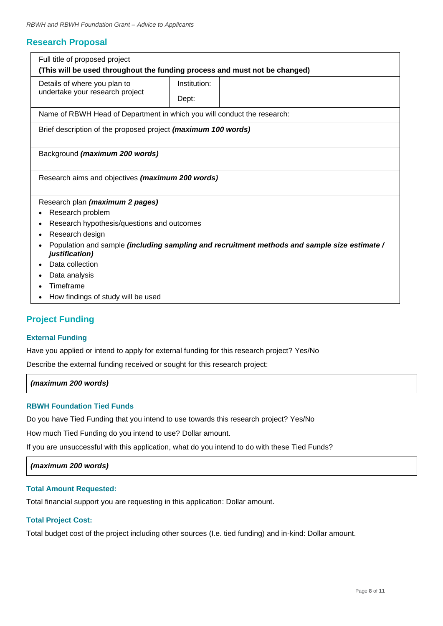### **Research Proposal**

| Full title of proposed project                                                                                |              |  |  |  |  |
|---------------------------------------------------------------------------------------------------------------|--------------|--|--|--|--|
| (This will be used throughout the funding process and must not be changed)                                    |              |  |  |  |  |
| Details of where you plan to                                                                                  | Institution: |  |  |  |  |
| undertake your research project                                                                               | Dept:        |  |  |  |  |
| Name of RBWH Head of Department in which you will conduct the research:                                       |              |  |  |  |  |
| Brief description of the proposed project (maximum 100 words)                                                 |              |  |  |  |  |
| Background (maximum 200 words)                                                                                |              |  |  |  |  |
| Research aims and objectives (maximum 200 words)                                                              |              |  |  |  |  |
| Research plan (maximum 2 pages)                                                                               |              |  |  |  |  |
| Research problem                                                                                              |              |  |  |  |  |
| Research hypothesis/questions and outcomes                                                                    |              |  |  |  |  |
| Research design                                                                                               |              |  |  |  |  |
| Population and sample (including sampling and recruitment methods and sample size estimate/<br>justification) |              |  |  |  |  |
| Data collection                                                                                               |              |  |  |  |  |
| Data analysis                                                                                                 |              |  |  |  |  |
| Timeframe                                                                                                     |              |  |  |  |  |
| How findings of study will be used                                                                            |              |  |  |  |  |

## **Project Funding**

#### **External Funding**

Have you applied or intend to apply for external funding for this research project? Yes/No

Describe the external funding received or sought for this research project:

*(maximum 200 words)*

#### **RBWH Foundation Tied Funds**

Do you have Tied Funding that you intend to use towards this research project? Yes/No

How much Tied Funding do you intend to use? Dollar amount.

If you are unsuccessful with this application, what do you intend to do with these Tied Funds?

*(maximum 200 words)*

#### **Total Amount Requested:**

Total financial support you are requesting in this application: Dollar amount.

#### **Total Project Cost:**

Total budget cost of the project including other sources (I.e. tied funding) and in-kind: Dollar amount.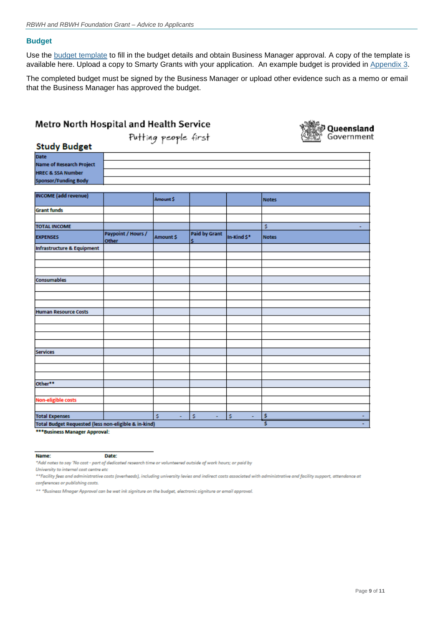#### **Budget**

Use the [budget template](https://metronorth.health.qld.gov.au/research/grants/rbwhcovid) to fill in the budget details and obtain Business Manager approval. A copy of the template is available here. Upload a copy to Smarty Grants with your application. An example budget is provided in Appendix 3.

The completed budget must be signed by the Business Manager or upload other evidence such as a memo or email that the Business Manager has approved the budget.

| Metro North Hospital and Health Service                                                                       |                    |                      |                      |             |                                 |
|---------------------------------------------------------------------------------------------------------------|--------------------|----------------------|----------------------|-------------|---------------------------------|
|                                                                                                               |                    | Putting people first |                      |             | <b>Queensland</b><br>Government |
| <b>Study Budget</b>                                                                                           |                    |                      |                      |             |                                 |
| <b>Date</b><br><b>Name of Research Project</b><br><b>HREC &amp; SSA Number</b><br><b>Sponsor/Funding Body</b> |                    |                      |                      |             |                                 |
| <b>INCOME</b> (add revenue)                                                                                   |                    | Amount \$            |                      |             | <b>Notes</b>                    |
| <b>Grant funds</b>                                                                                            |                    |                      |                      |             |                                 |
| <b>TOTAL INCOME</b>                                                                                           | Paypoint / Hours / |                      | <b>Paid by Grant</b> |             | \$                              |
| <b>EXPENSES</b>                                                                                               | <b>Other</b>       | Amount \$            |                      | In-Kind \$* | <b>Notes</b>                    |
| Infrastructure & Equipment                                                                                    |                    |                      |                      |             |                                 |
|                                                                                                               |                    |                      |                      |             |                                 |
|                                                                                                               |                    |                      |                      |             |                                 |
| Consumables                                                                                                   |                    |                      |                      |             |                                 |
|                                                                                                               |                    |                      |                      |             |                                 |
|                                                                                                               |                    |                      |                      |             |                                 |
| <b>Human Resource Costs</b>                                                                                   |                    |                      |                      |             |                                 |
|                                                                                                               |                    |                      |                      |             |                                 |
|                                                                                                               |                    |                      |                      |             |                                 |
|                                                                                                               |                    |                      |                      |             |                                 |
| <b>Services</b>                                                                                               |                    |                      |                      |             |                                 |
|                                                                                                               |                    |                      |                      |             |                                 |
|                                                                                                               |                    |                      |                      |             |                                 |
| Other**                                                                                                       |                    |                      |                      |             |                                 |
|                                                                                                               |                    |                      |                      |             |                                 |
| <b>Non-eligible costs</b>                                                                                     |                    |                      |                      |             |                                 |
|                                                                                                               |                    | s<br>ä,              | ä,                   |             | ٠                               |
| <b>Total Expenses</b><br>Total Budget Requested (less non-eligible & in-kind)                                 |                    |                      | Ś                    | \$<br>÷     | \$<br>Ś                         |

\*\*\* Business Manager Approval:

Name:

\*Add notes to say 'No cost - part of dedicated research time or volunteered outside of work hours; or paid by

Date:

University to internal cost centre etc

\*\*Facility fees and administrative costs (overheads), including university levies and indirect costs associated with administrative and facility support, attendance at conferences or publishing costs.

\*\* \*Business Mnager Approval can be wet ink signiture on the budget, electronic signiture or email approval.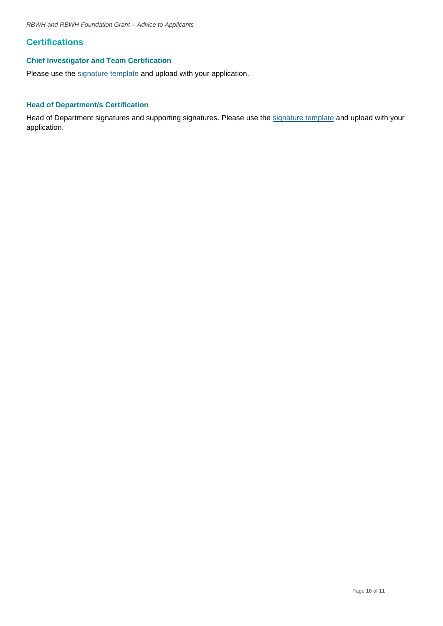## **Certifications**

#### **Chief Investigator and Team Certification**

Please use the [signature template](https://metronorth.health.qld.gov.au/research/grants/rbwhcovid) and upload with your application.

### **Head of Department/s Certification**

Head of Department signatures and supporting signatures. Please use the [signature template](https://metronorth.health.qld.gov.au/research/grants/rbwhcovid) and upload with your application.